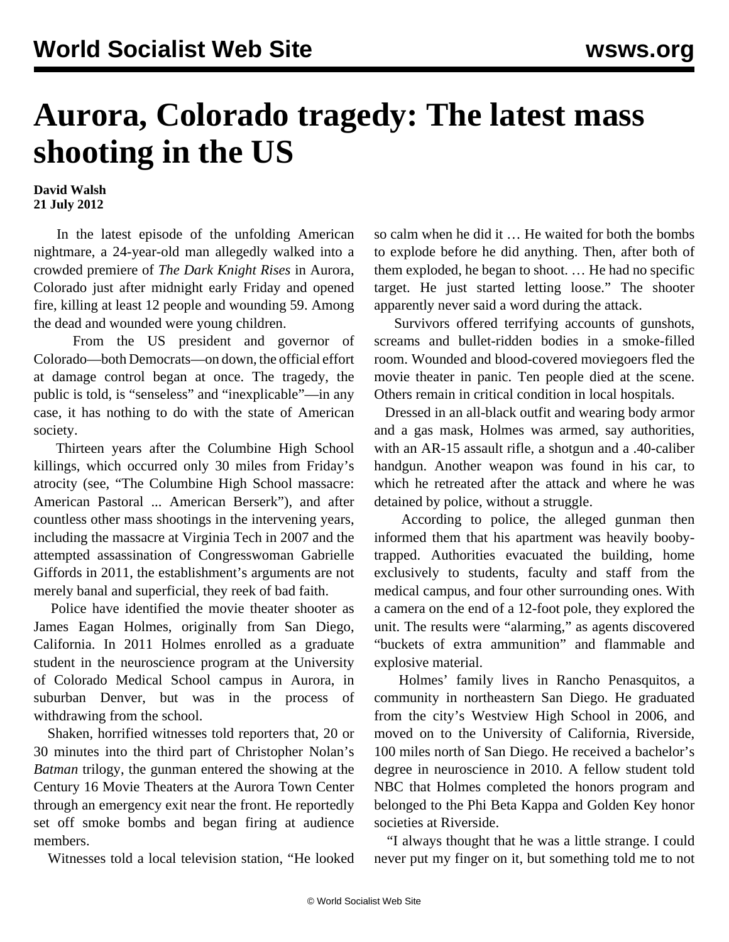## **Aurora, Colorado tragedy: The latest mass shooting in the US**

**David Walsh 21 July 2012**

 In the latest episode of the unfolding American nightmare, a 24-year-old man allegedly walked into a crowded premiere of *The Dark Knight Rises* in Aurora, Colorado just after midnight early Friday and opened fire, killing at least 12 people and wounding 59. Among the dead and wounded were young children.

 From the US president and governor of Colorado—both Democrats—on down, the official effort at damage control began at once. The tragedy, the public is told, is "senseless" and "inexplicable"—in any case, it has nothing to do with the state of American society.

 Thirteen years after the Columbine High School killings, which occurred only 30 miles from Friday's atrocity (see, ["The Columbine High School massacre:](/en/articles/2012/07/colu-j21.html) [American Pastoral ... American Berserk](/en/articles/2012/07/colu-j21.html)"), and after countless other mass shootings in the intervening years, including the massacre at Virginia Tech in 2007 and the attempted assassination of Congresswoman Gabrielle Giffords in 2011, the establishment's arguments are not merely banal and superficial, they reek of bad faith.

 Police have identified the movie theater shooter as James Eagan Holmes, originally from San Diego, California. In 2011 Holmes enrolled as a graduate student in the neuroscience program at the University of Colorado Medical School campus in Aurora, in suburban Denver, but was in the process of withdrawing from the school.

 Shaken, horrified witnesses told reporters that, 20 or 30 minutes into the third part of Christopher Nolan's *Batman* trilogy, the gunman entered the showing at the Century 16 Movie Theaters at the Aurora Town Center through an emergency exit near the front. He reportedly set off smoke bombs and began firing at audience members.

Witnesses told a local television station, "He looked

so calm when he did it … He waited for both the bombs to explode before he did anything. Then, after both of them exploded, he began to shoot. … He had no specific target. He just started letting loose." The shooter apparently never said a word during the attack.

 Survivors offered terrifying accounts of gunshots, screams and bullet-ridden bodies in a smoke-filled room. Wounded and blood-covered moviegoers fled the movie theater in panic. Ten people died at the scene. Others remain in critical condition in local hospitals.

 Dressed in an all-black outfit and wearing body armor and a gas mask, Holmes was armed, say authorities, with an AR-15 assault rifle, a shotgun and a .40-caliber handgun. Another weapon was found in his car, to which he retreated after the attack and where he was detained by police, without a struggle.

 According to police, the alleged gunman then informed them that his apartment was heavily boobytrapped. Authorities evacuated the building, home exclusively to students, faculty and staff from the medical campus, and four other surrounding ones. With a camera on the end of a 12-foot pole, they explored the unit. The results were "alarming," as agents discovered "buckets of extra ammunition" and flammable and explosive material.

 Holmes' family lives in Rancho Penasquitos, a community in northeastern San Diego. He graduated from the city's Westview High School in 2006, and moved on to the University of California, Riverside, 100 miles north of San Diego. He received a bachelor's degree in neuroscience in 2010. A fellow student told NBC that Holmes completed the honors program and belonged to the Phi Beta Kappa and Golden Key honor societies at Riverside.

 "I always thought that he was a little strange. I could never put my finger on it, but something told me to not